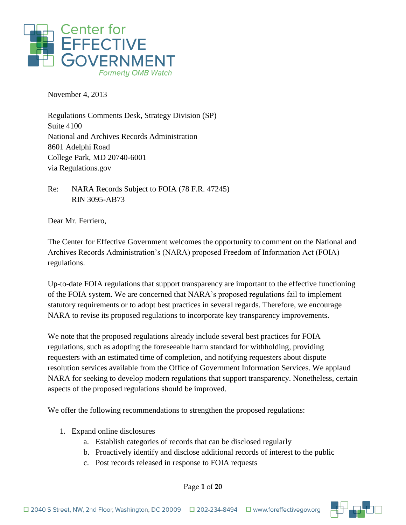

November 4, 2013

Regulations Comments Desk, Strategy Division (SP) Suite 4100 National and Archives Records Administration 8601 Adelphi Road College Park, MD 20740-6001 via Regulations.gov

Re: NARA Records Subject to FOIA (78 F.R. 47245) RIN 3095-AB73

Dear Mr. Ferriero,

The Center for Effective Government welcomes the opportunity to comment on the National and Archives Records Administration's (NARA) proposed Freedom of Information Act (FOIA) regulations.

Up-to-date FOIA regulations that support transparency are important to the effective functioning of the FOIA system. We are concerned that NARA's proposed regulations fail to implement statutory requirements or to adopt best practices in several regards. Therefore, we encourage NARA to revise its proposed regulations to incorporate key transparency improvements.

We note that the proposed regulations already include several best practices for FOIA regulations, such as adopting the foreseeable harm standard for withholding, providing requesters with an estimated time of completion, and notifying requesters about dispute resolution services available from the Office of Government Information Services. We applaud NARA for seeking to develop modern regulations that support transparency. Nonetheless, certain aspects of the proposed regulations should be improved.

We offer the following recommendations to strengthen the proposed regulations:

- 1. Expand online disclosures
	- a. Establish categories of records that can be disclosed regularly
	- b. Proactively identify and disclose additional records of interest to the public
	- c. Post records released in response to FOIA requests

Page **1** of **20**

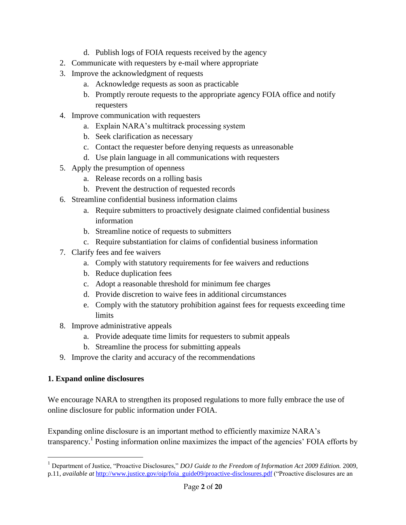- d. Publish logs of FOIA requests received by the agency
- 2. Communicate with requesters by e-mail where appropriate
- 3. Improve the acknowledgment of requests
	- a. Acknowledge requests as soon as practicable
	- b. Promptly reroute requests to the appropriate agency FOIA office and notify requesters
- 4. Improve communication with requesters
	- a. Explain NARA's multitrack processing system
	- b. Seek clarification as necessary
	- c. Contact the requester before denying requests as unreasonable
	- d. Use plain language in all communications with requesters
- 5. Apply the presumption of openness
	- a. Release records on a rolling basis
	- b. Prevent the destruction of requested records
- 6. Streamline confidential business information claims
	- a. Require submitters to proactively designate claimed confidential business information
	- b. Streamline notice of requests to submitters
	- c. Require substantiation for claims of confidential business information
- 7. Clarify fees and fee waivers
	- a. Comply with statutory requirements for fee waivers and reductions
	- b. Reduce duplication fees
	- c. Adopt a reasonable threshold for minimum fee charges
	- d. Provide discretion to waive fees in additional circumstances
	- e. Comply with the statutory prohibition against fees for requests exceeding time limits
- 8. Improve administrative appeals
	- a. Provide adequate time limits for requesters to submit appeals
	- b. Streamline the process for submitting appeals
- 9. Improve the clarity and accuracy of the recommendations

### **1. Expand online disclosures**

 $\overline{a}$ 

We encourage NARA to strengthen its proposed regulations to more fully embrace the use of online disclosure for public information under FOIA.

Expanding online disclosure is an important method to efficiently maximize NARA's transparency.<sup>1</sup> Posting information online maximizes the impact of the agencies' FOIA efforts by

<sup>1</sup> Department of Justice, "Proactive Disclosures," *DOJ Guide to the Freedom of Information Act 2009 Edition.* 2009, p.11, *available at* [http://www.justice.gov/oip/foia\\_guide09/proactive-disclosures.pdf](http://www.justice.gov/oip/foia_guide09/proactive-disclosures.pdf) ("Proactive disclosures are an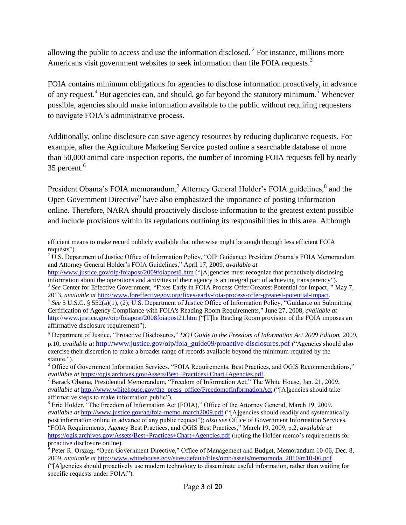allowing the public to access and use the information disclosed.<sup>2</sup> For instance, millions more Americans visit government websites to seek information than file FOIA requests.<sup>3</sup>

FOIA contains minimum obligations for agencies to disclose information proactively, in advance of any request.<sup>4</sup> But agencies can, and should, go far beyond the statutory minimum.<sup>5</sup> Whenever possible, agencies should make information available to the public without requiring requesters to navigate FOIA's administrative process.

Additionally, online disclosure can save agency resources by reducing duplicative requests. For example, after the Agriculture Marketing Service posted online a searchable database of more than 50,000 animal care inspection reports, the number of incoming FOIA requests fell by nearly 35 percent.<sup>6</sup>

President Obama's FOIA memorandum,<sup>7</sup> Attorney General Holder's FOIA guidelines,<sup>8</sup> and the Open Government Directive<sup>9</sup> have also emphasized the importance of posting information online. Therefore, NARA should proactively disclose information to the greatest extent possible and include provisions within its regulations outlining its responsibilities in this area. Although

1

efficient means to make record publicly available that otherwise might be sough through less efficient FOIA requests").

<sup>&</sup>lt;sup>2</sup> U.S. Department of Justice Office of Information Policy, "OIP Guidance: President Obama's FOIA Memorandum and Attorney General Holder's FOIA Guidelines," April 17, 2009, *available at*

<http://www.justice.gov/oip/foiapost/2009foiapost8.htm> ("[A]gencies must recognize that proactively disclosing information about the operations and activities of their agency is an integral part of achieving transparency"). <sup>3</sup> See Center for Effective Government, "Fixes Early in FOIA Process Offer Greatest Potential for Impact," May 7,

<sup>2013,</sup> *available at* [http://www.foreffectivegov.org/fixes-early-foia-process-offer-greatest-potential-impact.](http://www.foreffectivegov.org/fixes-early-foia-process-offer-greatest-potential-impact)

<sup>&</sup>lt;sup>4</sup> See 5 U.S.C. § 552(a)(1), (2); U.S. Department of Justice Office of Information Policy, "Guidance on Submitting Certification of Agency Compliance with FOIA's Reading Room Requirements," June 27, 2008, *available at* <http://www.justice.gov/oip/foiapost/2008foiapost21.htm> ("[T]he Reading Room provision of the FOIA imposes an affirmative disclosure requirement").

<sup>5</sup> Department of Justice, "Proactive Disclosures," *DOJ Guide to the Freedom of Information Act 2009 Edition.* 2009, p.10, *available at* [http://www.justice.gov/oip/foia\\_guide09/proactive-disclosures.pdf](http://www.justice.gov/oip/foia_guide09/proactive-disclosures.pdf) ("Agencies should also exercise their discretion to make a broader range of records available beyond the minimum required by the statute.").

<sup>6</sup> Office of Government Information Services, "FOIA Requirements, Best Practices, and OGIS Recommendations," *available at* [https://ogis.archives.gov/Assets/Best+Practices+Chart+Agencies.pdf.](https://ogis.archives.gov/Assets/Best+Practices+Chart+Agencies.pdf) 

<sup>7</sup> Barack Obama, Presidential Memorandum, "Freedom of Information Act," The White House, Jan. 21, 2009, *available at [http://www.whitehouse.gov/the\\_press\\_office/FreedomofInformationAct](http://www.whitehouse.gov/the_press_office/FreedomofInformationAct)* ("[A]gencies should take affirmative steps to make information public").

<sup>8</sup> Eric Holder, "The Freedom of Information Act (FOIA)," Office of the Attorney General, March 19, 2009, *available at* <http://www.justice.gov/ag/foia-memo-march2009.pdf> ("[A]gencies should readily and systematically post information online in advance of any public request"); *also see* Office of Government Information Services. "FOIA Requirements, Agency Best Practices, and OGIS Best Practices," March 19, 2009, p.2, *available at* <https://ogis.archives.gov/Assets/Best+Practices+Chart+Agencies.pdf> (noting the Holder memo's requirements for proactive disclosure online).

 $9$  Peter R. Orszag, "Open Government Directive," Office of Management and Budget, Memorandum 10-06, Dec. 8, 2009, *available at* [http://www.whitehouse.gov/sites/default/files/omb/assets/memoranda\\_2010/m10-06.pdf](http://www.whitehouse.gov/sites/default/files/omb/assets/memoranda_2010/m10-06.pdf)

<sup>(&</sup>quot;[A]gencies should proactively use modern technology to disseminate useful information, rather than waiting for specific requests under FOIA.").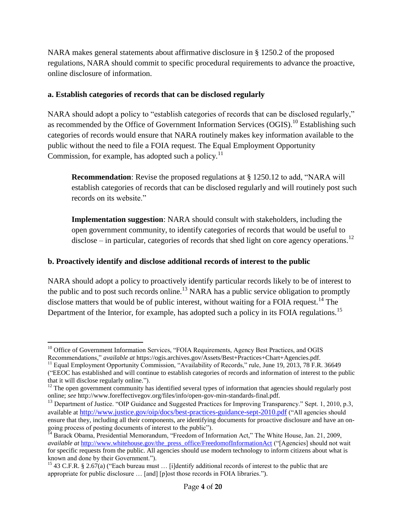NARA makes general statements about affirmative disclosure in § 1250.2 of the proposed regulations, NARA should commit to specific procedural requirements to advance the proactive, online disclosure of information.

### **a. Establish categories of records that can be disclosed regularly**

NARA should adopt a policy to "establish categories of records that can be disclosed regularly," as recommended by the Office of Government Information Services (OGIS).<sup>10</sup> Establishing such categories of records would ensure that NARA routinely makes key information available to the public without the need to file a FOIA request. The Equal Employment Opportunity Commission, for example, has adopted such a policy. $11$ 

**Recommendation**: Revise the proposed regulations at § 1250.12 to add, "NARA will establish categories of records that can be disclosed regularly and will routinely post such records on its website."

**Implementation suggestion**: NARA should consult with stakeholders, including the open government community, to identify categories of records that would be useful to disclose – in particular, categories of records that shed light on core agency operations.<sup>12</sup>

### **b. Proactively identify and disclose additional records of interest to the public**

NARA should adopt a policy to proactively identify particular records likely to be of interest to the public and to post such records online.<sup>13</sup> NARA has a public service obligation to promptly disclose matters that would be of public interest, without waiting for a FOIA request.<sup>14</sup> The Department of the Interior, for example, has adopted such a policy in its FOIA regulations.<sup>15</sup>

 $\overline{a}$ <sup>10</sup> Office of Government Information Services, "FOIA Requirements, Agency Best Practices, and OGIS Recommendations," *available at* https://ogis.archives.gov/Assets/Best+Practices+Chart+Agencies.pdf.

<sup>&</sup>lt;sup>11</sup> Equal Employment Opportunity Commission, "Availability of Records," rule, June 19, 2013, 78 F.R. 36649

<sup>(&</sup>quot;EEOC has established and will continue to establish categories of records and information of interest to the public that it will disclose regularly online.").

 $12$  The open government community has identified several types of information that agencies should regularly post online; *see* http://www.foreffectivegov.org/files/info/open-gov-min-standards-final.pdf.

<sup>&</sup>lt;sup>13</sup> Department of Justice. "OIP Guidance and Suggested Practices for Improving Transparency." Sept. 1, 2010, p.3, available at <http://www.justice.gov/oip/docs/best-practices-guidance-sept-2010.pdf> ("All agencies should ensure that they, including all their components, are identifying documents for proactive disclosure and have an ongoing process of posting documents of interest to the public").

<sup>&</sup>lt;sup>14</sup> Barack Obama, Presidential Memorandum, "Freedom of Information Act," The White House, Jan. 21, 2009, *available at [http://www.whitehouse.gov/the\\_press\\_office/FreedomofInformationAct](http://www.whitehouse.gov/the_press_office/FreedomofInformationAct) ("[Agencies] should not wait* for specific requests from the public. All agencies should use modern technology to inform citizens about what is known and done by their Government.").

<sup>&</sup>lt;sup>15</sup> 43 C.F.R. § 2.67(a) ("Each bureau must ... [i]dentify additional records of interest to the public that are appropriate for public disclosure … [and] [p]ost those records in FOIA libraries.").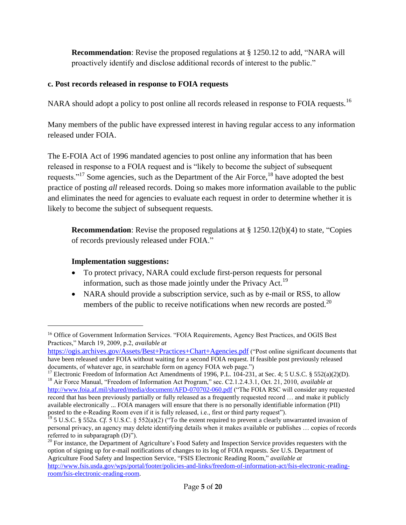**Recommendation**: Revise the proposed regulations at § 1250.12 to add, "NARA will proactively identify and disclose additional records of interest to the public."

### **c. Post records released in response to FOIA requests**

NARA should adopt a policy to post online all records released in response to FOIA requests.<sup>16</sup>

Many members of the public have expressed interest in having regular access to any information released under FOIA.

The E-FOIA Act of 1996 mandated agencies to post online any information that has been released in response to a FOIA request and is "likely to become the subject of subsequent requests."<sup>17</sup> Some agencies, such as the Department of the Air Force,<sup>18</sup> have adopted the best practice of posting *all* released records. Doing so makes more information available to the public and eliminates the need for agencies to evaluate each request in order to determine whether it is likely to become the subject of subsequent requests.

**Recommendation**: Revise the proposed regulations at § 1250.12(b)(4) to state, "Copies of records previously released under FOIA."

## **Implementation suggestions:**

1

- To protect privacy, NARA could exclude first-person requests for personal information, such as those made jointly under the Privacy Act.<sup>19</sup>
- NARA should provide a subscription service, such as by e-mail or RSS, to allow members of the public to receive notifications when new records are posted.<sup>20</sup>

<sup>&</sup>lt;sup>16</sup> Office of Government Information Services. "FOIA Requirements, Agency Best Practices, and OGIS Best Practices," March 19, 2009, p.2, *available at*

<https://ogis.archives.gov/Assets/Best+Practices+Chart+Agencies.pdf> ("Post online significant documents that have been released under FOIA without waiting for a second FOIA request. If feasible post previously released documents, of whatever age, in searchable form on agency FOIA web page.")

<sup>&</sup>lt;sup>17</sup> Electronic Freedom of Information Act Amendments of 1996, P.L. 104-231, at Sec. 4; 5 U.S.C. § 552(a)(2)(D). <sup>18</sup> Air Force Manual, "Freedom of Information Act Program," sec. C2.1.2.4.3.1, Oct. 21, 2010, *available at* <http://www.foia.af.mil/shared/media/document/AFD-070702-060.pdf> ("The FOIA RSC will consider any requested record that has been previously partially or fully released as a frequently requested record … and make it publicly available electronically ... FOIA managers will ensure that there is no personally identifiable information (PII) posted to the e-Reading Room even if it is fully released, i.e., first or third party request").

<sup>&</sup>lt;sup>19</sup> 5 U.S.C. § 552a. *Cf.* 5 U.S.C. § 552(a)(2) ("To the extent required to prevent a clearly unwarranted invasion of personal privacy, an agency may delete identifying details when it makes available or publishes … copies of records referred to in subparagraph (D)").

<sup>&</sup>lt;sup>20</sup> For instance, the Department of Agriculture's Food Safety and Inspection Service provides requesters with the option of signing up for e-mail notifications of changes to its log of FOIA requests. *See* U.S. Department of Agriculture Food Safety and Inspection Service, "FSIS Electronic Reading Room," *available at*  [http://www.fsis.usda.gov/wps/portal/footer/policies-and-links/freedom-of-information-act/fsis-electronic-reading](http://www.fsis.usda.gov/wps/portal/footer/policies-and-links/freedom-of-information-act/fsis-electronic-reading-room/fsis-electronic-reading-room)[room/fsis-electronic-reading-room.](http://www.fsis.usda.gov/wps/portal/footer/policies-and-links/freedom-of-information-act/fsis-electronic-reading-room/fsis-electronic-reading-room)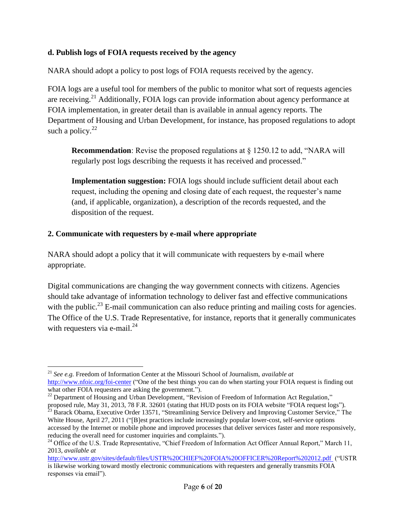### **d. Publish logs of FOIA requests received by the agency**

NARA should adopt a policy to post logs of FOIA requests received by the agency.

FOIA logs are a useful tool for members of the public to monitor what sort of requests agencies are receiving.<sup>21</sup> Additionally, FOIA logs can provide information about agency performance at FOIA implementation, in greater detail than is available in annual agency reports. The Department of Housing and Urban Development, for instance, has proposed regulations to adopt such a policy. $^{22}$ 

**Recommendation**: Revise the proposed regulations at  $\frac{1}{2}$  1250.12 to add, "NARA will regularly post logs describing the requests it has received and processed."

**Implementation suggestion:** FOIA logs should include sufficient detail about each request, including the opening and closing date of each request, the requester's name (and, if applicable, organization), a description of the records requested, and the disposition of the request.

### **2. Communicate with requesters by e-mail where appropriate**

 $\overline{a}$ 

NARA should adopt a policy that it will communicate with requesters by e-mail where appropriate.

Digital communications are changing the way government connects with citizens. Agencies should take advantage of information technology to deliver fast and effective communications with the public.<sup>23</sup> E-mail communication can also reduce printing and mailing costs for agencies. The Office of the U.S. Trade Representative, for instance, reports that it generally communicates with requesters via e-mail. $^{24}$ 

<sup>21</sup> *See e.g.* Freedom of Information Center at the Missouri School of Journalism, *available at*  <http://www.nfoic.org/foi-center> ("One of the best things you can do when starting your FOIA request is finding out what other FOIA requesters are asking the government.").

<sup>&</sup>lt;sup>22</sup> Department of Housing and Urban Development, "Revision of Freedom of Information Act Regulation," proposed rule, May 31, 2013, 78 F.R. 32601 (stating that HUD posts on its FOIA website "FOIA request logs").

<sup>&</sup>lt;sup>23</sup> Barack Obama, Executive Order 13571, "Streamlining Service Delivery and Improving Customer Service," The White House, April 27, 2011 ("[B]est practices include increasingly popular lower-cost, self-service options accessed by the Internet or mobile phone and improved processes that deliver services faster and more responsively, reducing the overall need for customer inquiries and complaints.").

<sup>&</sup>lt;sup>24</sup> Office of the U.S. Trade Representative, "Chief Freedom of Information Act Officer Annual Report," March 11, 2013, *available at*

<http://www.ustr.gov/sites/default/files/USTR%20CHIEF%20FOIA%20OFFICER%20Report%202012.pdf> ("USTR is likewise working toward mostly electronic communications with requesters and generally transmits FOIA responses via email").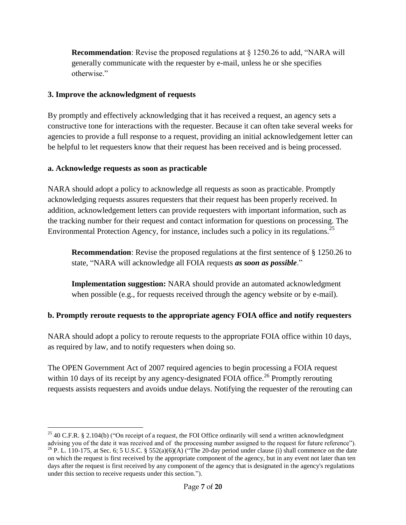**Recommendation**: Revise the proposed regulations at § 1250.26 to add, "NARA will generally communicate with the requester by e-mail, unless he or she specifies otherwise."

### **3. Improve the acknowledgment of requests**

By promptly and effectively acknowledging that it has received a request, an agency sets a constructive tone for interactions with the requester. Because it can often take several weeks for agencies to provide a full response to a request, providing an initial acknowledgement letter can be helpful to let requesters know that their request has been received and is being processed.

## **a. Acknowledge requests as soon as practicable**

1

NARA should adopt a policy to acknowledge all requests as soon as practicable. Promptly acknowledging requests assures requesters that their request has been properly received. In addition, acknowledgement letters can provide requesters with important information, such as the tracking number for their request and contact information for questions on processing. The Environmental Protection Agency, for instance, includes such a policy in its regulations.<sup>25</sup>

**Recommendation**: Revise the proposed regulations at the first sentence of § 1250.26 to state, "NARA will acknowledge all FOIA requests *as soon as possible*."

**Implementation suggestion:** NARA should provide an automated acknowledgment when possible (e.g., for requests received through the agency website or by e-mail).

# **b. Promptly reroute requests to the appropriate agency FOIA office and notify requesters**

NARA should adopt a policy to reroute requests to the appropriate FOIA office within 10 days, as required by law, and to notify requesters when doing so.

The OPEN Government Act of 2007 required agencies to begin processing a FOIA request within 10 days of its receipt by any agency-designated FOIA office.<sup>26</sup> Promptly rerouting requests assists requesters and avoids undue delays. Notifying the requester of the rerouting can

<sup>&</sup>lt;sup>25</sup> 40 C.F.R. § 2.104(b) ("On receipt of a request, the FOI Office ordinarily will send a written acknowledgment advising you of the date it was received and of the processing number assigned to the request for future reference"). <sup>26</sup> P. L. 110-175, at Sec. 6; 5 U.S.C. § 552(a)(6)(A) ("The 20-day period under clause (i) shall commence on the date on which the request is first received by the appropriate component of the agency, but in any event not later than ten days after the request is first received by any component of the agency that is designated in the agency's regulations under this section to receive requests under this section.").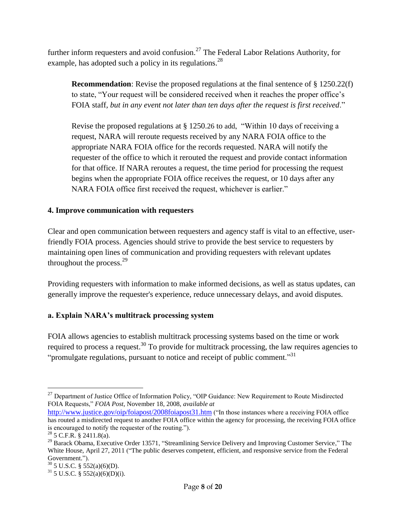further inform requesters and avoid confusion.<sup>27</sup> The Federal Labor Relations Authority, for example, has adopted such a policy in its regulations.  $28$ 

**Recommendation**: Revise the proposed regulations at the final sentence of § 1250.22(f) to state, "Your request will be considered received when it reaches the proper office's FOIA staff*, but in any event not later than ten days after the request is first received*."

Revise the proposed regulations at § 1250.26 to add, "Within 10 days of receiving a request, NARA will reroute requests received by any NARA FOIA office to the appropriate NARA FOIA office for the records requested. NARA will notify the requester of the office to which it rerouted the request and provide contact information for that office. If NARA reroutes a request, the time period for processing the request begins when the appropriate FOIA office receives the request, or 10 days after any NARA FOIA office first received the request, whichever is earlier."

## **4. Improve communication with requesters**

Clear and open communication between requesters and agency staff is vital to an effective, userfriendly FOIA process. Agencies should strive to provide the best service to requesters by maintaining open lines of communication and providing requesters with relevant updates throughout the process. $2^9$ 

Providing requesters with information to make informed decisions, as well as status updates, can generally improve the requester's experience, reduce unnecessary delays, and avoid disputes.

# **a. Explain NARA's multitrack processing system**

FOIA allows agencies to establish multitrack processing systems based on the time or work required to process a request.<sup>30</sup> To provide for multitrack processing, the law requires agencies to "promulgate regulations, pursuant to notice and receipt of public comment."<sup>31</sup>

 $\overline{a}$ 

<sup>&</sup>lt;sup>27</sup> Department of Justice Office of Information Policy, "OIP Guidance: New Requirement to Route Misdirected FOIA Requests," *FOIA Post*, November 18, 2008, *available at* 

<http://www.justice.gov/oip/foiapost/2008foiapost31.htm> ("In those instances where a receiving FOIA office has routed a misdirected request to another FOIA office within the agency for processing, the receiving FOIA office is encouraged to notify the requester of the routing.").

 $^{28}$  5 C.F.R. § 2411.8(a).

<sup>&</sup>lt;sup>29</sup> Barack Obama, Executive Order 13571, "Streamlining Service Delivery and Improving Customer Service," The White House, April 27, 2011 ("The public deserves competent, efficient, and responsive service from the Federal Government.").

 $30\overline{5}$  U.S.C. § 552(a)(6)(D).

 $31$  5 U.S.C. § 552(a)(6)(D)(i).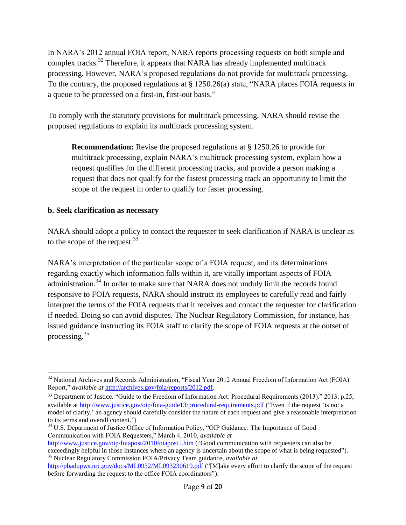In NARA's 2012 annual FOIA report, NARA reports processing requests on both simple and complex tracks.<sup>32</sup> Therefore, it appears that NARA has already implemented multitrack processing. However, NARA's proposed regulations do not provide for multitrack processing. To the contrary, the proposed regulations at § 1250.26(a) state, "NARA places FOIA requests in a queue to be processed on a first-in, first-out basis."

To comply with the statutory provisions for multitrack processing, NARA should revise the proposed regulations to explain its multitrack processing system.

**Recommendation:** Revise the proposed regulations at § 1250.26 to provide for multitrack processing, explain NARA's multitrack processing system, explain how a request qualifies for the different processing tracks, and provide a person making a request that does not qualify for the fastest processing track an opportunity to limit the scope of the request in order to qualify for faster processing.

#### **b. Seek clarification as necessary**

NARA should adopt a policy to contact the requester to seek clarification if NARA is unclear as to the scope of the request.  $33$ 

NARA's interpretation of the particular scope of a FOIA request, and its determinations regarding exactly which information falls within it, are vitally important aspects of FOIA administration.<sup>34</sup> In order to make sure that NARA does not unduly limit the records found responsive to FOIA requests, NARA should instruct its employees to carefully read and fairly interpret the terms of the FOIA requests that it receives and contact the requester for clarification if needed. Doing so can avoid disputes. The Nuclear Regulatory Commission, for instance, has issued guidance instructing its FOIA staff to clarify the scope of FOIA requests at the outset of processing.<sup>35</sup>

 $\overline{a}$  $32$  National Archives and Records Administration, "Fiscal Year 2012 Annual Freedom of Information Act (FOIA) Report," *available at* [http://archives.gov/foia/reports/2012.pdf.](http://archives.gov/foia/reports/2012.pdf)

<sup>33</sup> Department of Justice. "Guide to the Freedom of Information Act: Procedural Requirements (2013)." 2013, p.25, available at<http://www.justice.gov/oip/foia-guide13/procedural-requirements.pdf> ("Even if the request 'is not a model of clarity,' an agency should carefully consider the nature of each request and give a reasonable interpretation to its terms and overall content.")

<sup>&</sup>lt;sup>34</sup> U.S. Department of Justice Office of Information Policy, "OIP Guidance: The Importance of Good Communication with FOIA Requesters," March 4, 2010, *available at*

<http://www.justice.gov/oip/foiapost/2010foiapost5.htm> ("Good communication with requesters can also be exceedingly helpful in those instances where an agency is uncertain about the scope of what is being requested"). <sup>35</sup> Nuclear Regulatory Commission FOIA/Privacy Team guidance, *available at* 

<http://pbadupws.nrc.gov/docs/ML0932/ML093230619.pdf> ("[M]ake every effort to clarify the scope of the request before forwarding the request to the office FOIA coordinators").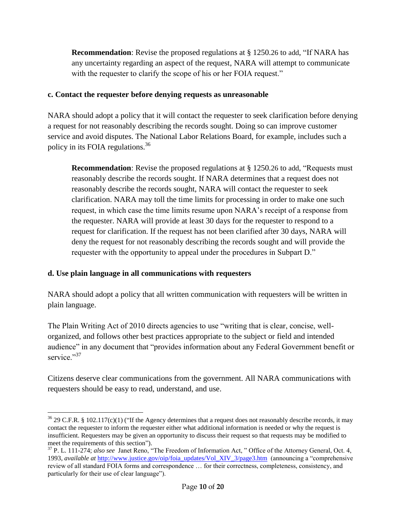**Recommendation**: Revise the proposed regulations at § 1250.26 to add, "If NARA has any uncertainty regarding an aspect of the request, NARA will attempt to communicate with the requester to clarify the scope of his or her FOIA request."

#### **c. Contact the requester before denying requests as unreasonable**

NARA should adopt a policy that it will contact the requester to seek clarification before denying a request for not reasonably describing the records sought. Doing so can improve customer service and avoid disputes. The National Labor Relations Board, for example, includes such a policy in its FOIA regulations.<sup>36</sup>

**Recommendation**: Revise the proposed regulations at § 1250.26 to add, "Requests must reasonably describe the records sought. If NARA determines that a request does not reasonably describe the records sought, NARA will contact the requester to seek clarification. NARA may toll the time limits for processing in order to make one such request, in which case the time limits resume upon NARA's receipt of a response from the requester. NARA will provide at least 30 days for the requester to respond to a request for clarification. If the request has not been clarified after 30 days, NARA will deny the request for not reasonably describing the records sought and will provide the requester with the opportunity to appeal under the procedures in Subpart D."

### **d. Use plain language in all communications with requesters**

NARA should adopt a policy that all written communication with requesters will be written in plain language.

The Plain Writing Act of 2010 directs agencies to use "writing that is clear, concise, wellorganized, and follows other best practices appropriate to the subject or field and intended audience" in any document that "provides information about any Federal Government benefit or service."<sup>37</sup>

Citizens deserve clear communications from the government. All NARA communications with requesters should be easy to read, understand, and use.

 $\overline{a}$  $36$  29 C.F.R. § 102.117(c)(1) ("If the Agency determines that a request does not reasonably describe records, it may contact the requester to inform the requester either what additional information is needed or why the request is insufficient. Requesters may be given an opportunity to discuss their request so that requests may be modified to meet the requirements of this section").

<sup>37</sup> P. L. 111-274; *also see* Janet Reno, "The Freedom of Information Act, " Office of the Attorney General, Oct. 4, 1993, *available at* [http://www.justice.gov/oip/foia\\_updates/Vol\\_XIV\\_3/page3.htm](http://www.justice.gov/oip/foia_updates/Vol_XIV_3/page3.htm) (announcing a "comprehensive review of all standard FOIA forms and correspondence … for their correctness, completeness, consistency, and particularly for their use of clear language").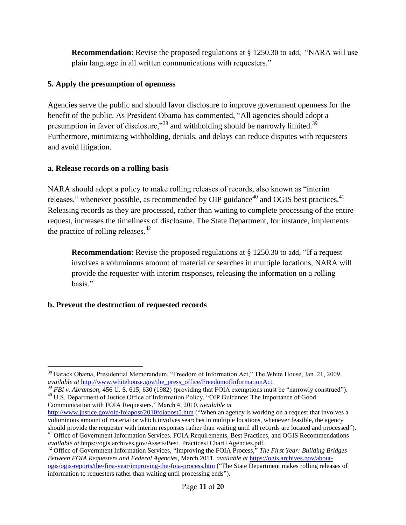**Recommendation**: Revise the proposed regulations at § 1250.30 to add, "NARA will use plain language in all written communications with requesters."

### **5. Apply the presumption of openness**

Agencies serve the public and should favor disclosure to improve government openness for the benefit of the public. As President Obama has commented, "All agencies should adopt a presumption in favor of disclosure,"<sup>38</sup> and withholding should be narrowly limited.<sup>39</sup> Furthermore, minimizing withholding, denials, and delays can reduce disputes with requesters and avoid litigation.

### **a. Release records on a rolling basis**

NARA should adopt a policy to make rolling releases of records, also known as "interim releases," whenever possible, as recommended by OIP guidance<sup>40</sup> and OGIS best practices.<sup>41</sup> Releasing records as they are processed, rather than waiting to complete processing of the entire request, increases the timeliness of disclosure. The State Department, for instance, implements the practice of rolling releases. $42$ 

**Recommendation**: Revise the proposed regulations at § 1250.30 to add, "If a request involves a voluminous amount of material or searches in multiple locations, NARA will provide the requester with interim responses, releasing the information on a rolling basis."

# **b. Prevent the destruction of requested records**

<sup>39</sup> *FBI v. Abramson*, 456 U. S. 615, 630 (1982) (providing that FOIA exemptions must be "narrowly construed"). <sup>40</sup> U.S. Department of Justice Office of Information Policy, "OIP Guidance: The Importance of Good Communication with FOIA Requesters," March 4, 2010, *available at*

 $\overline{a}$ <sup>38</sup> Barack Obama, Presidential Memorandum, "Freedom of Information Act," The White House, Jan. 21, 2009, *available at* [http://www.whitehouse.gov/the\\_press\\_office/FreedomofInformationAct.](http://www.whitehouse.gov/the_press_office/FreedomofInformationAct)

<http://www.justice.gov/oip/foiapost/2010foiapost5.htm> ("When an agency is working on a request that involves a voluminous amount of material or which involves searches in multiple locations, whenever feasible, the agency should provide the requester with interim responses rather than waiting until all records are located and processed").

<sup>&</sup>lt;sup>41</sup> Office of Government Information Services. FOIA Requirements, Best Practices, and OGIS Recommendations *available at* https://ogis.archives.gov/Assets/Best+Practices+Chart+Agencies.pdf.

<sup>42</sup> Office of Government Information Services, "Improving the FOIA Process," *The First Year: Building Bridges Between FOIA Requesters and Federal Agencies*, March 2011, *available at* [https://ogis.archives.gov/about](https://ogis.archives.gov/about-ogis/ogis-reports/the-first-year/improving-the-foia-process.htm)[ogis/ogis-reports/the-first-year/improving-the-foia-process.htm](https://ogis.archives.gov/about-ogis/ogis-reports/the-first-year/improving-the-foia-process.htm) ("The State Department makes rolling releases of information to requesters rather than waiting until processing ends").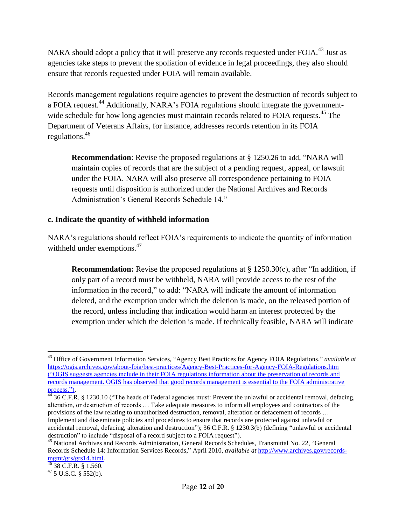NARA should adopt a policy that it will preserve any records requested under FOIA.<sup>43</sup> Just as agencies take steps to prevent the spoliation of evidence in legal proceedings, they also should ensure that records requested under FOIA will remain available.

Records management regulations require agencies to prevent the destruction of records subject to a FOIA request.<sup>44</sup> Additionally, NARA's FOIA regulations should integrate the governmentwide schedule for how long agencies must maintain records related to FOIA requests.<sup>45</sup> The Department of Veterans Affairs, for instance, addresses records retention in its FOIA regulations.<sup>46</sup>

**Recommendation**: Revise the proposed regulations at § 1250.26 to add, "NARA will maintain copies of records that are the subject of a pending request, appeal, or lawsuit under the FOIA. NARA will also preserve all correspondence pertaining to FOIA requests until disposition is authorized under the National Archives and Records Administration's General Records Schedule 14."

#### **c. Indicate the quantity of withheld information**

NARA's regulations should reflect FOIA's requirements to indicate the quantity of information withheld under exemptions.<sup>47</sup>

**Recommendation:** Revise the proposed regulations at § 1250.30(c), after "In addition, if only part of a record must be withheld, NARA will provide access to the rest of the information in the record," to add: "NARA will indicate the amount of information deleted, and the exemption under which the deletion is made, on the released portion of the record, unless including that indication would harm an interest protected by the exemption under which the deletion is made. If technically feasible, NARA will indicate

<sup>1</sup> <sup>43</sup> Office of Government Information Services, "Agency Best Practices for Agency FOIA Regulations," *available at*  <https://ogis.archives.gov/about-foia/best-practices/Agency-Best-Practices-for-Agency-FOIA-Regulations.htm> ("OGIS suggests agencies include in their FOIA regulations information about the preservation of records and records management. OGIS has observed that good records management is essential to the FOIA administrative process.").

 $44\overline{36}$  C.F.R. § 1230.10 ("The heads of Federal agencies must: Prevent the unlawful or accidental removal, defacing, alteration, or destruction of records … Take adequate measures to inform all employees and contractors of the provisions of the law relating to unauthorized destruction, removal, alteration or defacement of records … Implement and disseminate policies and procedures to ensure that records are protected against unlawful or accidental removal, defacing, alteration and destruction"); 36 C.F.R. § 1230.3(b) (defining "unlawful or accidental destruction" to include "disposal of a record subject to a FOIA request").

<sup>45</sup> National Archives and Records Administration, General Records Schedules, Transmittal No. 22, "General Records Schedule 14: Information Services Records," April 2010, *available at* [http://www.archives.gov/records](http://www.archives.gov/records-mgmt/grs/grs14.html)[mgmt/grs/grs14.html.](http://www.archives.gov/records-mgmt/grs/grs14.html)

 $46$  38 C.F.R. § 1.560.

 $47$  5 U.S.C. § 552(b).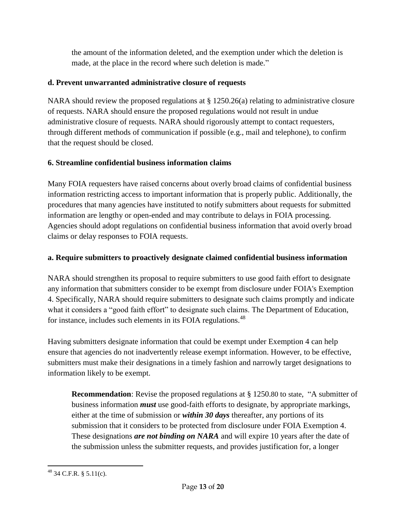the amount of the information deleted, and the exemption under which the deletion is made, at the place in the record where such deletion is made."

## **d. Prevent unwarranted administrative closure of requests**

NARA should review the proposed regulations at  $\S 1250.26(a)$  relating to administrative closure of requests. NARA should ensure the proposed regulations would not result in undue administrative closure of requests. NARA should rigorously attempt to contact requesters, through different methods of communication if possible (e.g., mail and telephone), to confirm that the request should be closed.

# **6. Streamline confidential business information claims**

Many FOIA requesters have raised concerns about overly broad claims of confidential business information restricting access to important information that is properly public. Additionally, the procedures that many agencies have instituted to notify submitters about requests for submitted information are lengthy or open-ended and may contribute to delays in FOIA processing. Agencies should adopt regulations on confidential business information that avoid overly broad claims or delay responses to FOIA requests.

# **a. Require submitters to proactively designate claimed confidential business information**

NARA should strengthen its proposal to require submitters to use good faith effort to designate any information that submitters consider to be exempt from disclosure under FOIA's Exemption 4. Specifically, NARA should require submitters to designate such claims promptly and indicate what it considers a "good faith effort" to designate such claims. The Department of Education, for instance, includes such elements in its FOIA regulations.<sup>48</sup>

Having submitters designate information that could be exempt under Exemption 4 can help ensure that agencies do not inadvertently release exempt information. However, to be effective, submitters must make their designations in a timely fashion and narrowly target designations to information likely to be exempt.

**Recommendation**: Revise the proposed regulations at § 1250.80 to state, "A submitter of business information *must* use good-faith efforts to designate, by appropriate markings, either at the time of submission or *within 30 days* thereafter, any portions of its submission that it considers to be protected from disclosure under FOIA Exemption 4. These designations *are not binding on NARA* and will expire 10 years after the date of the submission unless the submitter requests, and provides justification for, a longer

 $\overline{a}$  $^{48}$  34 C.F.R. § 5.11(c).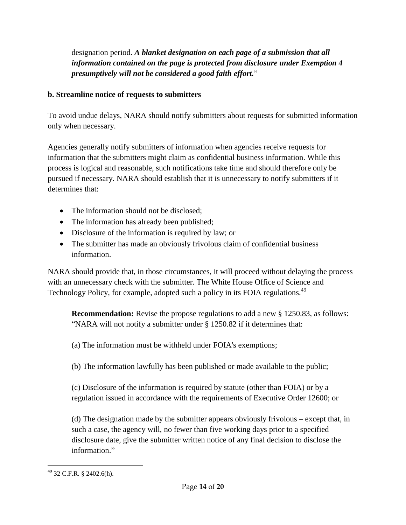designation period. *A blanket designation on each page of a submission that all information contained on the page is protected from disclosure under Exemption 4 presumptively will not be considered a good faith effort.*"

## **b. Streamline notice of requests to submitters**

To avoid undue delays, NARA should notify submitters about requests for submitted information only when necessary.

Agencies generally notify submitters of information when agencies receive requests for information that the submitters might claim as confidential business information. While this process is logical and reasonable, such notifications take time and should therefore only be pursued if necessary. NARA should establish that it is unnecessary to notify submitters if it determines that:

- The information should not be disclosed:
- The information has already been published;
- Disclosure of the information is required by law; or
- The submitter has made an obviously frivolous claim of confidential business information.

NARA should provide that, in those circumstances, it will proceed without delaying the process with an unnecessary check with the submitter. The White House Office of Science and Technology Policy, for example, adopted such a policy in its FOIA regulations.<sup>49</sup>

**Recommendation:** Revise the propose regulations to add a new § 1250.83, as follows: "NARA will not notify a submitter under § 1250.82 if it determines that:

(a) The information must be withheld under FOIA's exemptions;

(b) The information lawfully has been published or made available to the public;

(c) Disclosure of the information is required by statute (other than FOIA) or by a regulation issued in accordance with the requirements of Executive Order 12600; or

(d) The designation made by the submitter appears obviously frivolous – except that, in such a case, the agency will, no fewer than five working days prior to a specified disclosure date, give the submitter written notice of any final decision to disclose the information."

 $\overline{a}$  $^{49}$  32 C.F.R. § 2402.6(h).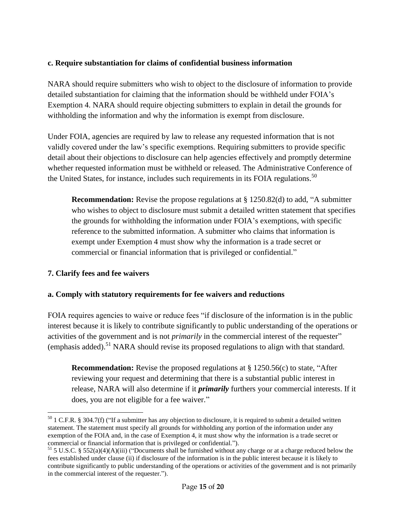### **c. Require substantiation for claims of confidential business information**

NARA should require submitters who wish to object to the disclosure of information to provide detailed substantiation for claiming that the information should be withheld under FOIA's Exemption 4. NARA should require objecting submitters to explain in detail the grounds for withholding the information and why the information is exempt from disclosure.

Under FOIA, agencies are required by law to release any requested information that is not validly covered under the law's specific exemptions. Requiring submitters to provide specific detail about their objections to disclosure can help agencies effectively and promptly determine whether requested information must be withheld or released. The Administrative Conference of the United States, for instance, includes such requirements in its FOIA regulations.<sup>50</sup>

**Recommendation:** Revise the propose regulations at § 1250.82(d) to add, "A submitter who wishes to object to disclosure must submit a detailed written statement that specifies the grounds for withholding the information under FOIA's exemptions, with specific reference to the submitted information. A submitter who claims that information is exempt under Exemption 4 must show why the information is a trade secret or commercial or financial information that is privileged or confidential."

### **7. Clarify fees and fee waivers**

#### **a. Comply with statutory requirements for fee waivers and reductions**

FOIA requires agencies to waive or reduce fees "if disclosure of the information is in the public interest because it is likely to contribute significantly to public understanding of the operations or activities of the government and is not *primarily* in the commercial interest of the requester" (emphasis added).<sup>51</sup> NARA should revise its proposed regulations to align with that standard.

**Recommendation:** Revise the proposed regulations at § 1250.56(c) to state, "After reviewing your request and determining that there is a substantial public interest in release, NARA will also determine if it *primarily* furthers your commercial interests. If it does, you are not eligible for a fee waiver."

 $\overline{a}$  $50$  1 C.F.R. § 304.7(f) ("If a submitter has any objection to disclosure, it is required to submit a detailed written statement. The statement must specify all grounds for withholding any portion of the information under any exemption of the FOIA and, in the case of Exemption 4, it must show why the information is a trade secret or commercial or financial information that is privileged or confidential.").

<sup>&</sup>lt;sup>51</sup> 5 U.S.C. § 552(a)(4)(A)(iii) ("Documents shall be furnished without any charge or at a charge reduced below the fees established under clause (ii) if disclosure of the information is in the public interest because it is likely to contribute significantly to public understanding of the operations or activities of the government and is not primarily in the commercial interest of the requester.").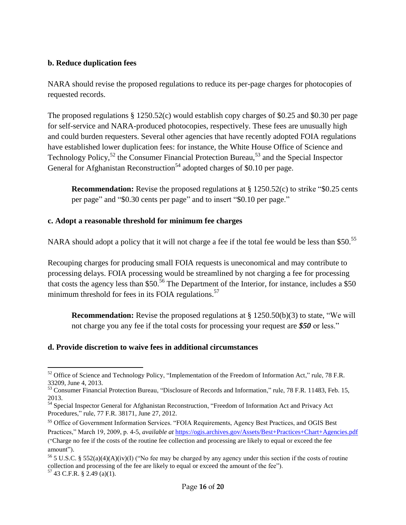#### **b. Reduce duplication fees**

NARA should revise the proposed regulations to reduce its per-page charges for photocopies of requested records.

The proposed regulations § 1250.52(c) would establish copy charges of \$0.25 and \$0.30 per page for self-service and NARA-produced photocopies, respectively. These fees are unusually high and could burden requesters. Several other agencies that have recently adopted FOIA regulations have established lower duplication fees: for instance, the White House Office of Science and Technology Policy,<sup>52</sup> the Consumer Financial Protection Bureau,<sup>53</sup> and the Special Inspector General for Afghanistan Reconstruction<sup>54</sup> adopted charges of \$0.10 per page.

**Recommendation:** Revise the proposed regulations at § 1250.52(c) to strike "\$0.25 cents per page" and "\$0.30 cents per page" and to insert "\$0.10 per page."

#### **c. Adopt a reasonable threshold for minimum fee charges**

NARA should adopt a policy that it will not charge a fee if the total fee would be less than \$50.<sup>55</sup>

Recouping charges for producing small FOIA requests is uneconomical and may contribute to processing delays. FOIA processing would be streamlined by not charging a fee for processing that costs the agency less than \$50.<sup>56</sup> The Department of the Interior, for instance, includes a \$50 minimum threshold for fees in its FOIA regulations.<sup>57</sup>

**Recommendation:** Revise the proposed regulations at § 1250.50(b)(3) to state, "We will not charge you any fee if the total costs for processing your request are *\$50* or less."

### **d. Provide discretion to waive fees in additional circumstances**

<sup>1</sup>  $52$  Office of Science and Technology Policy, "Implementation of the Freedom of Information Act," rule, 78 F.R. 33209, June 4, 2013.

<sup>53</sup> Consumer Financial Protection Bureau, "Disclosure of Records and Information," rule, 78 F.R. 11483, Feb. 15, 2013.

<sup>54</sup> Special Inspector General for Afghanistan Reconstruction, "Freedom of Information Act and Privacy Act Procedures," rule, 77 F.R. 38171, June 27, 2012.

<sup>55</sup> Office of Government Information Services. "FOIA Requirements, Agency Best Practices, and OGIS Best

Practices," March 19, 2009, p. 4-5, *available at* <https://ogis.archives.gov/Assets/Best+Practices+Chart+Agencies.pdf>

<sup>(&</sup>quot;Charge no fee if the costs of the routine fee collection and processing are likely to equal or exceed the fee amount").

<sup>&</sup>lt;sup>56</sup> 5 U.S.C. § 552(a)(4)(A)(iv)(I) ("No fee may be charged by any agency under this section if the costs of routine collection and processing of the fee are likely to equal or exceed the amount of the fee").  $57$  43 C.F.R. § 2.49 (a)(1).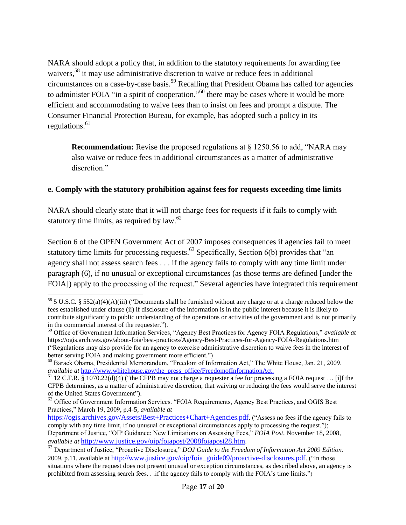NARA should adopt a policy that, in addition to the statutory requirements for awarding fee waivers,<sup>58</sup> it may use administrative discretion to waive or reduce fees in additional circumstances on a case-by-case basis.<sup>59</sup> Recalling that President Obama has called for agencies to administer FOIA "in a spirit of cooperation,"<sup>60</sup> there may be cases where it would be more efficient and accommodating to waive fees than to insist on fees and prompt a dispute. The Consumer Financial Protection Bureau, for example, has adopted such a policy in its regulations. $61$ 

**Recommendation:** Revise the proposed regulations at § 1250.56 to add, "NARA may also waive or reduce fees in additional circumstances as a matter of administrative discretion."

#### **e. Comply with the statutory prohibition against fees for requests exceeding time limits**

NARA should clearly state that it will not charge fees for requests if it fails to comply with statutory time limits, as required by law.<sup>62</sup>

Section 6 of the OPEN Government Act of 2007 imposes consequences if agencies fail to meet statutory time limits for processing requests.<sup>63</sup> Specifically, Section  $6(b)$  provides that "an agency shall not assess search fees . . . if the agency fails to comply with any time limit under paragraph (6), if no unusual or exceptional circumstances (as those terms are defined [under the FOIA]) apply to the processing of the request." Several agencies have integrated this requirement

1

<sup>&</sup>lt;sup>58</sup> 5 U.S.C. § 552(a)(4)(A)(iii) ("Documents shall be furnished without any charge or at a charge reduced below the fees established under clause (ii) if disclosure of the information is in the public interest because it is likely to contribute significantly to public understanding of the operations or activities of the government and is not primarily in the commercial interest of the requester.").

<sup>59</sup> Office of Government Information Services, "Agency Best Practices for Agency FOIA Regulations," *available at*  https://ogis.archives.gov/about-foia/best-practices/Agency-Best-Practices-for-Agency-FOIA-Regulations.htm ("Regulations may also provide for an agency to exercise administrative discretion to waive fees in the interest of better serving FOIA and making government more efficient.")

<sup>60</sup> Barack Obama, Presidential Memorandum, "Freedom of Information Act," The White House, Jan. 21, 2009, *available at [http://www.whitehouse.gov/the\\_press\\_office/FreedomofInformationAct.](http://www.whitehouse.gov/the_press_office/FreedomofInformationAct)* 

 $61$  12 C.F.R. § 1070.22(d)(4) ("the CFPB may not charge a requester a fee for processing a FOIA request ... [i]f the CFPB determines, as a matter of administrative discretion, that waiving or reducing the fees would serve the interest of the United States Government").

<sup>&</sup>lt;sup>62</sup> Office of Government Information Services. "FOIA Requirements, Agency Best Practices, and OGIS Best Practices," March 19, 2009, p.4-5, *available at*

<https://ogis.archives.gov/Assets/Best+Practices+Chart+Agencies.pdf>. ("Assess no fees if the agency fails to comply with any time limit, if no unusual or exceptional circumstances apply to processing the request."); Department of Justice, "OIP Guidance: New Limitations on Assessing Fees," *FOIA Post*, November 18, 2008, *available at* [http://www.justice.gov/oip/foiapost/2008foiapost28.htm](http://www.justice.gov/oip/foiapost/2008foiapost28.htm/).

<sup>63</sup> Department of Justice, "Proactive Disclosures," *DOJ Guide to the Freedom of Information Act 2009 Edition.* 2009, p.11, available at [http://www.justice.gov/oip/foia\\_guide09/proactive-disclosures.pdf](http://www.justice.gov/oip/foia_guide09/proactive-disclosures.pdf). ("In those situations where the request does not present unusual or exception circumstances, as described above, an agency is prohibited from assessing search fees. . .if the agency fails to comply with the FOIA's time limits.")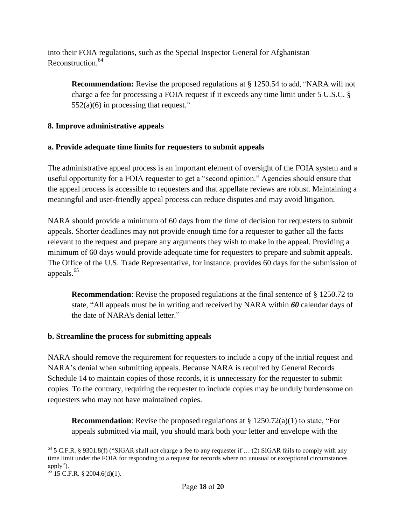into their FOIA regulations, such as the Special Inspector General for Afghanistan Reconstruction. 64

**Recommendation:** Revise the proposed regulations at § 1250.54 to add, "NARA will not charge a fee for processing a FOIA request if it exceeds any time limit under 5 U.S.C. §  $552(a)(6)$  in processing that request."

# **8. Improve administrative appeals**

# **a. Provide adequate time limits for requesters to submit appeals**

The administrative appeal process is an important element of oversight of the FOIA system and a useful opportunity for a FOIA requester to get a "second opinion." Agencies should ensure that the appeal process is accessible to requesters and that appellate reviews are robust. Maintaining a meaningful and user-friendly appeal process can reduce disputes and may avoid litigation.

NARA should provide a minimum of 60 days from the time of decision for requesters to submit appeals. Shorter deadlines may not provide enough time for a requester to gather all the facts relevant to the request and prepare any arguments they wish to make in the appeal. Providing a minimum of 60 days would provide adequate time for requesters to prepare and submit appeals. The Office of the U.S. Trade Representative, for instance, provides 60 days for the submission of appeals.<sup>65</sup>

**Recommendation**: Revise the proposed regulations at the final sentence of § 1250.72 to state, "All appeals must be in writing and received by NARA within *60* calendar days of the date of NARA's denial letter."

# **b. Streamline the process for submitting appeals**

NARA should remove the requirement for requesters to include a copy of the initial request and NARA's denial when submitting appeals. Because NARA is required by General Records Schedule 14 to maintain copies of those records, it is unnecessary for the requester to submit copies. To the contrary, requiring the requester to include copies may be unduly burdensome on requesters who may not have maintained copies.

**Recommendation**: Revise the proposed regulations at § 1250.72(a)(1) to state, "For appeals submitted via mail, you should mark both your letter and envelope with the

<sup>1</sup>  $64$  5 C.F.R. § 9301.8(f) ("SIGAR shall not charge a fee to any requester if ... (2) SIGAR fails to comply with any time limit under the FOIA for responding to a request for records where no unusual or exceptional circumstances apply").

 $65$  15 C.F.R. § 2004.6(d)(1).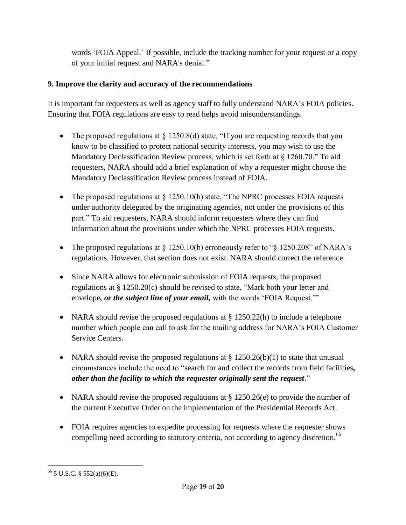words 'FOIA Appeal.' If possible, include the tracking number for your request or a copy of your initial request and NARA's denial."

## **9. Improve the clarity and accuracy of the recommendations**

It is important for requesters as well as agency staff to fully understand NARA's FOIA policies. Ensuring that FOIA regulations are easy to read helps avoid misunderstandings.

- The proposed regulations at  $\S$  1250.8(d) state, "If you are requesting records that you know to be classified to protect national security interests, you may wish to use the Mandatory Declassification Review process, which is set forth at § 1260.70." To aid requesters, NARA should add a brief explanation of why a requester might choose the Mandatory Declassification Review process instead of FOIA.
- The proposed regulations at  $\S$  1250.10(b) state, "The NPRC processes FOIA requests under authority delegated by the originating agencies, not under the provisions of this part." To aid requesters, NARA should inform requesters where they can find information about the provisions under which the NPRC processes FOIA requests.
- The proposed regulations at  $\S 1250.10(b)$  erroneously refer to " $\S 1250.208$ " of NARA's regulations. However, that section does not exist. NARA should correct the reference.
- Since NARA allows for electronic submission of FOIA requests, the proposed regulations at § 1250.20(c) should be revised to state, "Mark both your letter and envelope*, or the subject line of your email,* with the words 'FOIA Request.'"
- NARA should revise the proposed regulations at § 1250.22(h) to include a telephone number which people can call to ask for the mailing address for NARA's FOIA Customer Service Centers.
- NARA should revise the proposed regulations at  $\S 1250.26(b)(1)$  to state that unusual circumstances include the need to "search for and collect the records from field facilities*, other than the facility to which the requester originally sent the request*."
- NARA should revise the proposed regulations at  $\S 1250.26(e)$  to provide the number of the current Executive Order on the implementation of the Presidential Records Act.
- FOIA requires agencies to expedite processing for requests where the requester shows compelling need according to statutory criteria, not according to agency discretion.<sup>66</sup>

 $\overline{a}$  $66$  5 U.S.C. § 552(a)(6)(E).